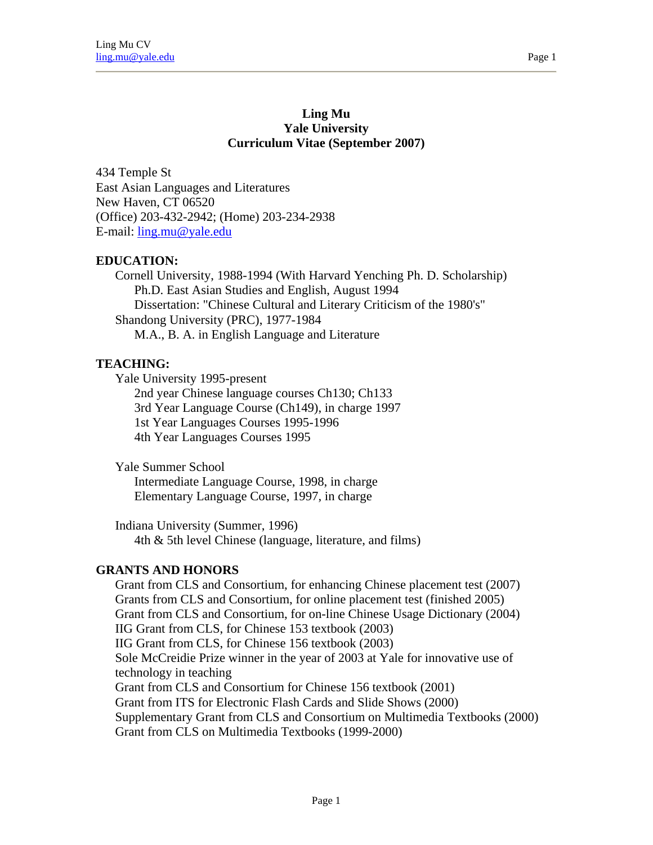#### **Ling Mu Yale University Curriculum Vitae (September 2007)**

434 Temple St East Asian Languages and Literatures New Haven, CT 06520 (Office) 203-432-2942; (Home) 203-234-2938 E-mail: ling.mu@yale.edu

### **EDUCATION:**

Cornell University, 1988-1994 (With Harvard Yenching Ph. D. Scholarship) Ph.D. East Asian Studies and English, August 1994 Dissertation: "Chinese Cultural and Literary Criticism of the 1980's" Shandong University (PRC), 1977-1984 M.A., B. A. in English Language and Literature

### **TEACHING:**

Yale University 1995-present

2nd year Chinese language courses Ch130; Ch133 3rd Year Language Course (Ch149), in charge 1997 1st Year Languages Courses 1995-1996 4th Year Languages Courses 1995

Yale Summer School

Intermediate Language Course, 1998, in charge Elementary Language Course, 1997, in charge

Indiana University (Summer, 1996) 4th & 5th level Chinese (language, literature, and films)

#### **GRANTS AND HONORS**

Grant from CLS and Consortium, for enhancing Chinese placement test (2007) Grants from CLS and Consortium, for online placement test (finished 2005) Grant from CLS and Consortium, for on-line Chinese Usage Dictionary (2004) IIG Grant from CLS, for Chinese 153 textbook (2003) IIG Grant from CLS, for Chinese 156 textbook (2003) Sole McCreidie Prize winner in the year of 2003 at Yale for innovative use of technology in teaching Grant from CLS and Consortium for Chinese 156 textbook (2001) Grant from ITS for Electronic Flash Cards and Slide Shows (2000) Supplementary Grant from CLS and Consortium on Multimedia Textbooks (2000) Grant from CLS on Multimedia Textbooks (1999-2000)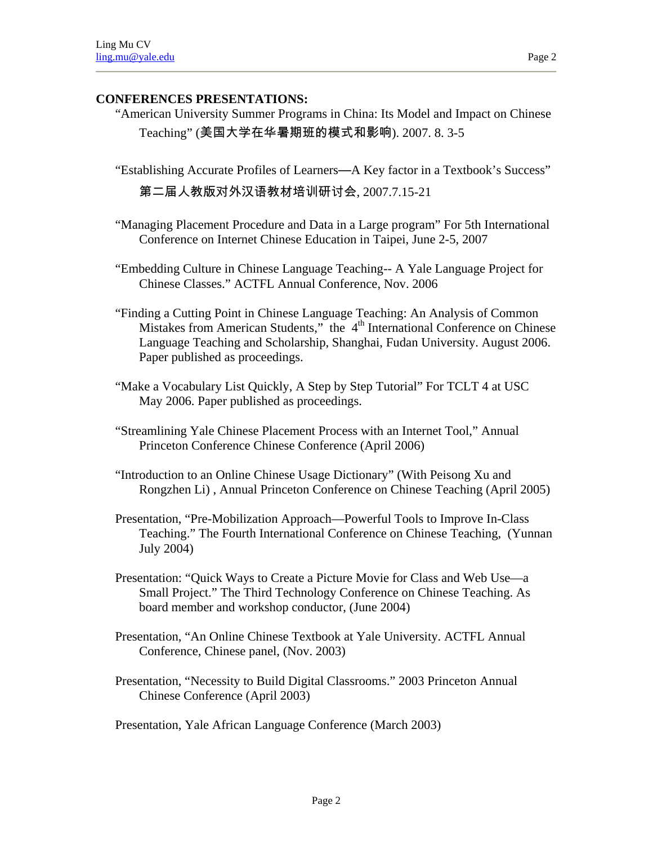### **CONFERENCES PRESENTATIONS:**

- "American University Summer Programs in China: Its Model and Impact on Chinese Teaching" (美国大学在华暑期班的模式和影响). 2007. 8. 3-5
- "Establishing Accurate Profiles of Learners—A Key factor in a Textbook's Success"

第二届人教版对外汉语教材培训研讨会, 2007.7.15-21

- "Managing Placement Procedure and Data in a Large program" For 5th International Conference on Internet Chinese Education in Taipei, June 2-5, 2007
- "Embedding Culture in Chinese Language Teaching-- A Yale Language Project for Chinese Classes." ACTFL Annual Conference, Nov. 2006
- "Finding a Cutting Point in Chinese Language Teaching: An Analysis of Common Mistakes from American Students," the 4<sup>th</sup> International Conference on Chinese Language Teaching and Scholarship, Shanghai, Fudan University. August 2006. Paper published as proceedings.
- "Make a Vocabulary List Quickly, A Step by Step Tutorial" For TCLT 4 at USC May 2006. Paper published as proceedings.
- "Streamlining Yale Chinese Placement Process with an Internet Tool," Annual Princeton Conference Chinese Conference (April 2006)
- "Introduction to an Online Chinese Usage Dictionary" (With Peisong Xu and Rongzhen Li) , Annual Princeton Conference on Chinese Teaching (April 2005)
- Presentation, "Pre-Mobilization Approach—Powerful Tools to Improve In-Class Teaching." The Fourth International Conference on Chinese Teaching, (Yunnan July 2004)
- Presentation: "Quick Ways to Create a Picture Movie for Class and Web Use—a Small Project." The Third Technology Conference on Chinese Teaching. As board member and workshop conductor, (June 2004)
- Presentation, "An Online Chinese Textbook at Yale University. ACTFL Annual Conference, Chinese panel, (Nov. 2003)
- Presentation, "Necessity to Build Digital Classrooms." 2003 Princeton Annual Chinese Conference (April 2003)

Page 2

Presentation, Yale African Language Conference (March 2003)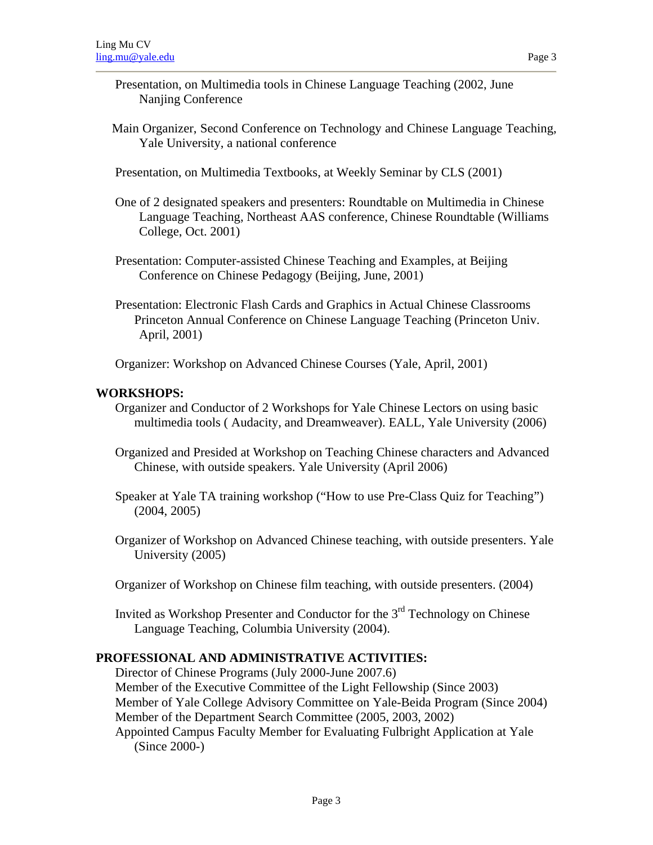- Presentation, on Multimedia tools in Chinese Language Teaching (2002, June Nanjing Conference
- Main Organizer, Second Conference on Technology and Chinese Language Teaching, Yale University, a national conference
- Presentation, on Multimedia Textbooks, at Weekly Seminar by CLS (2001)
- One of 2 designated speakers and presenters: Roundtable on Multimedia in Chinese Language Teaching, Northeast AAS conference, Chinese Roundtable (Williams College, Oct. 2001)
- Presentation: Computer-assisted Chinese Teaching and Examples, at Beijing Conference on Chinese Pedagogy (Beijing, June, 2001)
- Presentation: Electronic Flash Cards and Graphics in Actual Chinese Classrooms Princeton Annual Conference on Chinese Language Teaching (Princeton Univ. April, 2001)

Organizer: Workshop on Advanced Chinese Courses (Yale, April, 2001)

#### **WORKSHOPS:**

- Organizer and Conductor of 2 Workshops for Yale Chinese Lectors on using basic multimedia tools ( Audacity, and Dreamweaver). EALL, Yale University (2006)
- Organized and Presided at Workshop on Teaching Chinese characters and Advanced Chinese, with outside speakers. Yale University (April 2006)
- Speaker at Yale TA training workshop ("How to use Pre-Class Quiz for Teaching") (2004, 2005)
- Organizer of Workshop on Advanced Chinese teaching, with outside presenters. Yale University (2005)
- Organizer of Workshop on Chinese film teaching, with outside presenters. (2004)
- Invited as Workshop Presenter and Conductor for the  $3<sup>rd</sup>$  Technology on Chinese Language Teaching, Columbia University (2004).

#### **PROFESSIONAL AND ADMINISTRATIVE ACTIVITIES:**

Director of Chinese Programs (July 2000-June 2007.6) Member of the Executive Committee of the Light Fellowship (Since 2003) Member of Yale College Advisory Committee on Yale-Beida Program (Since 2004) Member of the Department Search Committee (2005, 2003, 2002) Appointed Campus Faculty Member for Evaluating Fulbright Application at Yale (Since 2000-)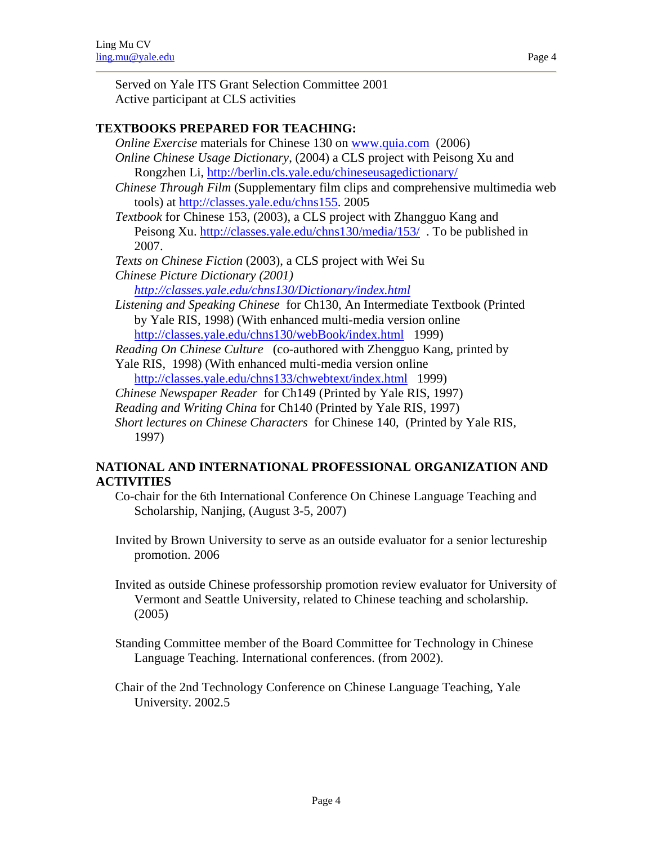# **TEXTBOOKS PREPARED FOR TEACHING:**

- *Online Exercise* materials for Chinese 130 on www.quia.com (2006) *Online Chinese Usage Dictionary*, (2004) a CLS project with Peisong Xu and Rongzhen Li, http://berlin.cls.yale.edu/chineseusagedictionary/
- *Chinese Through Film* (Supplementary film clips and comprehensive multimedia web tools) at http://classes.yale.edu/chns155. 2005
- *Textbook* for Chinese 153, (2003), a CLS project with Zhangguo Kang and Peisong Xu. http://classes.yale.edu/chns130/media/153/ . To be published in 2007.
- *Texts on Chinese Fiction* (2003), a CLS project with Wei Su
- *Chinese Picture Dictionary (2001)*

*http://classes.yale.edu/chns130/Dictionary/index.html* 

*Listening and Speaking Chinese* for Ch130, An Intermediate Textbook (Printed by Yale RIS, 1998) (With enhanced multi-media version online http://classes.yale.edu/chns130/webBook/index.html 1999)

*Reading On Chinese Culture* (co-authored with Zhengguo Kang, printed by Yale RIS, 1998) (With enhanced multi-media version online

http://classes.yale.edu/chns133/chwebtext/index.html 1999)

*Chinese Newspaper Reader* for Ch149 (Printed by Yale RIS, 1997)

*Reading and Writing China* for Ch140 (Printed by Yale RIS, 1997)

*Short lectures on Chinese Characters* for Chinese 140, (Printed by Yale RIS, 1997)

# **NATIONAL AND INTERNATIONAL PROFESSIONAL ORGANIZATION AND ACTIVITIES**

Co-chair for the 6th International Conference On Chinese Language Teaching and Scholarship, Nanjing, (August 3-5, 2007)

Invited by Brown University to serve as an outside evaluator for a senior lectureship promotion. 2006

Invited as outside Chinese professorship promotion review evaluator for University of Vermont and Seattle University, related to Chinese teaching and scholarship. (2005)

Standing Committee member of the Board Committee for Technology in Chinese Language Teaching. International conferences. (from 2002).

Chair of the 2nd Technology Conference on Chinese Language Teaching, Yale University. 2002.5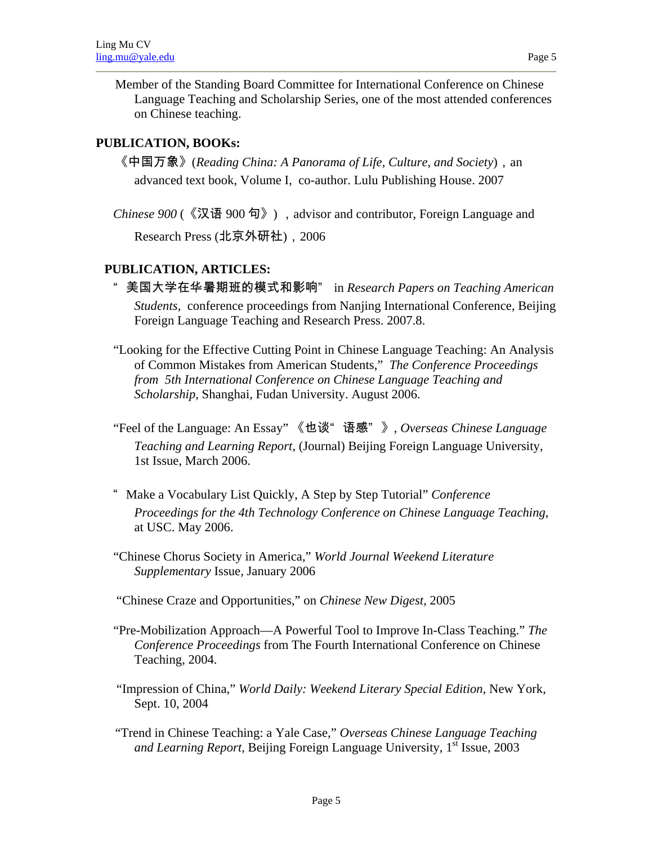Member of the Standing Board Committee for International Conference on Chinese Language Teaching and Scholarship Series, one of the most attended conferences on Chinese teaching.

# **PUBLICATION, BOOKs:**

《中国万象》(*Reading China: A Panorama of Life, Culture, and Society*),an advanced text book, Volume I, co-author. Lulu Publishing House. 2007

*Chinese 900* (《汉语 900 句》), advisor and contributor, Foreign Language and Research Press (北京外研社), 2006

# **PUBLICATION, ARTICLES:**

- " 美国大学在华暑期班的模式和影响" in *Research Papers on Teaching American Students*, conference proceedings from Nanjing International Conference, Beijing Foreign Language Teaching and Research Press. 2007.8.
- "Looking for the Effective Cutting Point in Chinese Language Teaching: An Analysis of Common Mistakes from American Students," *The Conference Proceedings from 5th International Conference on Chinese Language Teaching and Scholarship*, Shanghai, Fudan University. August 2006.
- "Feel of the Language: An Essay" 《也谈" 语感" 》, *Overseas Chinese Language Teaching and Learning Report*, (Journal) Beijing Foreign Language University, 1st Issue, March 2006.
- " Make a Vocabulary List Quickly, A Step by Step Tutorial" *Conference Proceedings for the 4th Technology Conference on Chinese Language Teaching*, at USC. May 2006.
- "Chinese Chorus Society in America," *World Journal Weekend Literature Supplementary* Issue, January 2006
- "Chinese Craze and Opportunities," on *Chinese New Digest*, 2005
- "Pre-Mobilization Approach—A Powerful Tool to Improve In-Class Teaching." *The Conference Proceedings* from The Fourth International Conference on Chinese Teaching, 2004.
- "Impression of China," *World Daily: Weekend Literary Special Edition*, New York, Sept. 10, 2004
- "Trend in Chinese Teaching: a Yale Case," *Overseas Chinese Language Teaching and Learning Report, Beijing Foreign Language University,* 1<sup>st</sup> Issue, 2003